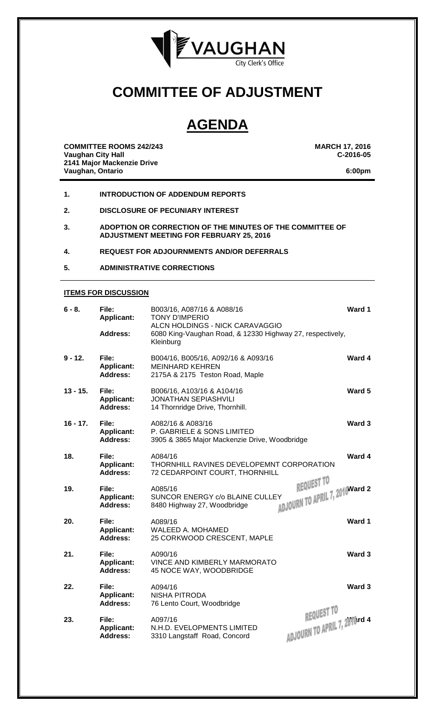

## **COMMITTEE OF ADJUSTMENT**

# **AGENDA**

**COMMITTEE ROOMS 242/243 MARCH 17, 2016 Vaughan City Hall 2141 Major Mackenzie Drive Vaughan, Ontario 6:00pm**

- **1. INTRODUCTION OF ADDENDUM REPORTS**
- **2. DISCLOSURE OF PECUNIARY INTEREST**
- **3. ADOPTION OR CORRECTION OF THE MINUTES OF THE COMMITTEE OF ADJUSTMENT MEETING FOR FEBRUARY 25, 2016**
- **4. REQUEST FOR ADJOURNMENTS AND/OR DEFERRALS**
- **5. ADMINISTRATIVE CORRECTIONS**

#### **ITEMS FOR DISCUSSION**

| $6 - 8.$   | File:<br><b>Applicant:</b><br><b>Address:</b> | B003/16, A087/16 & A088/16<br><b>TONY D'IMPERIO</b><br>ALCN HOLDINGS - NICK CARAVAGGIO<br>6080 King-Vaughan Road, & 12330 Highway 27, respectively,<br>Kleinburg | Ward 1                                       |
|------------|-----------------------------------------------|------------------------------------------------------------------------------------------------------------------------------------------------------------------|----------------------------------------------|
| $9 - 12.$  | File:<br><b>Applicant:</b><br><b>Address:</b> | B004/16, B005/16, A092/16 & A093/16<br><b>MEINHARD KEHREN</b><br>2175A & 2175 Teston Road, Maple                                                                 | Ward 4                                       |
| $13 - 15.$ | File:<br><b>Applicant:</b><br><b>Address:</b> | B006/16, A103/16 & A104/16<br><b>JONATHAN SEPIASHVILI</b><br>14 Thornridge Drive, Thornhill.                                                                     | Ward 5                                       |
| $16 - 17.$ | File:<br><b>Applicant:</b><br><b>Address:</b> | A082/16 & A083/16<br>P. GABRIELE & SONS LIMITED<br>3905 & 3865 Major Mackenzie Drive, Woodbridge                                                                 | Ward 3                                       |
| 18.        | File:<br>Applicant:<br><b>Address:</b>        | A084/16<br>THORNHILL RAVINES DEVELOPEMNT CORPORATION<br>72 CEDARPOINT COURT, THORNHILL                                                                           | Ward 4                                       |
| 19.        | File:<br><b>Applicant:</b><br><b>Address:</b> | A085/16<br>SUNCOR ENERGY c/o BLAINE CULLEY<br>8480 Highway 27, Woodbridge                                                                                        | REQUEST TO<br>ADJOURN TO APRIL 7, 2016Ward 2 |
| 20.        | File:<br><b>Applicant:</b><br><b>Address:</b> | A089/16<br><b>WALEED A. MOHAMED</b><br>25 CORKWOOD CRESCENT, MAPLE                                                                                               | Ward 1                                       |
| 21.        | File:<br><b>Applicant:</b><br><b>Address:</b> | A090/16<br><b>VINCE AND KIMBERLY MARMORATO</b><br>45 NOCE WAY, WOODBRIDGE                                                                                        | Ward 3                                       |
| 22.        | File:<br><b>Applicant:</b><br><b>Address:</b> | A094/16<br><b>NISHA PITRODA</b><br>76 Lento Court, Woodbridge                                                                                                    | Ward 3                                       |
| 23.        | File:<br><b>Applicant:</b><br><b>Address:</b> | A097/16<br>N.H.D. EVELOPMENTS LIMITED<br>3310 Langstaff Road, Concord                                                                                            | REQUEST TO<br>ADJOURN TO APRIL 7, 2010rd 4   |